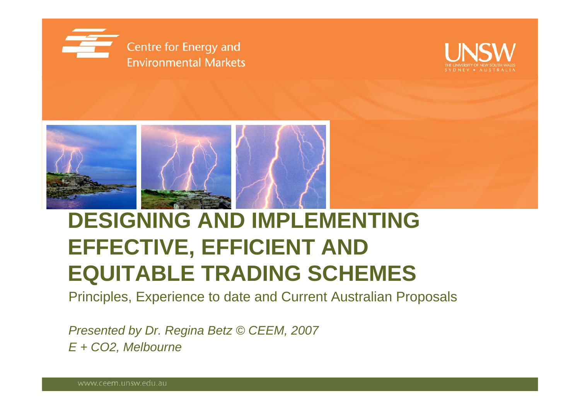





## **DESIGNING AND IMPLEMENTING EFFECTIVE, EFFICIENT AND EQUITABLE TRADING SCHEMES**

Principles, Experience to date and Current Australian Proposals

*Presented by Dr. Regina Betz © CEEM, 2007 E + CO2, Melbourne*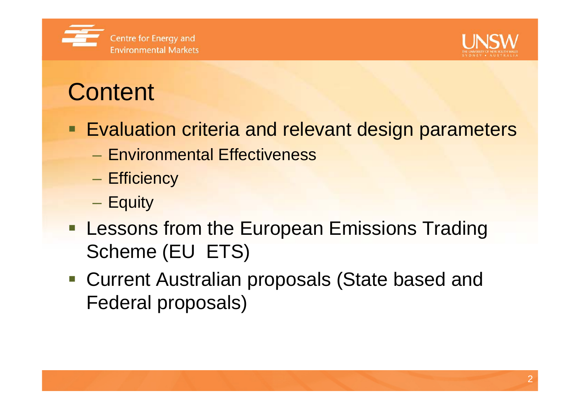



# **Content**

- Evaluation criteria and relevant design parameters
	- Environmental Effectiveness
	- –– Efficiency
	- –— Equity
- **Lessons from the European Emissions Trading** Scheme (EU ETS)
- Current Australian proposals (State based and Federal proposals)

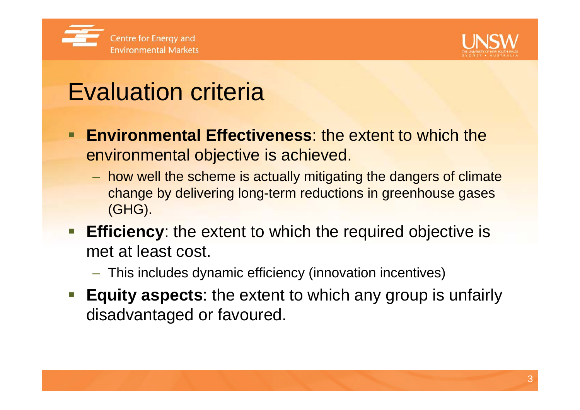



# Evaluation criteria

- **Environmental Effectiveness**: the extent to which the environmental objective is achieved.
	- $-$  how well the scheme is actually mitigating the dangers of climate  $\overline{\phantom{a}}$ change by delivering long-term reductions in greenhouse gases (GHG).
- **Efficiency**: the extent to which the required objective is met at least cost.
	- This includes dynamic efficiency (innovation incentives)
- **Equity aspects**: the extent to which any group is unfairly disadvantaged or favoured.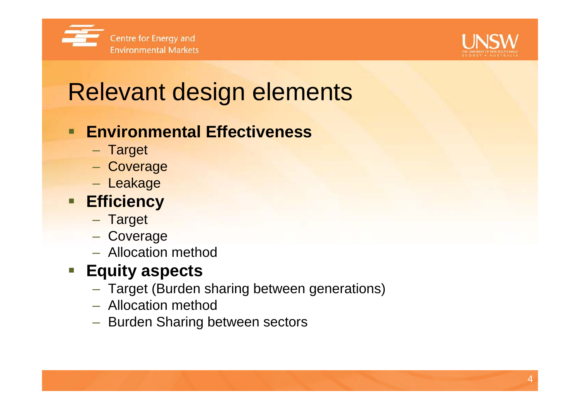



# Relevant design elements

## **Environmental Effectiveness**

- Target
- Coverage
- Leakage

## **Efficiency**

- Target
- Coverage
- Allocation method

## **Equity aspects**

- Target (Burden sharing between generations)
- Allocation method
- Burden Sharing between sectors

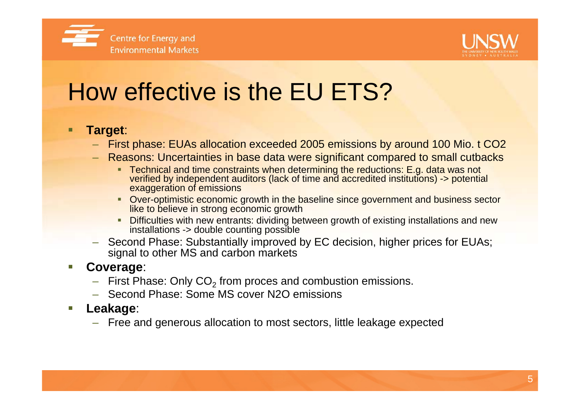



# How effective is the EU ETS?

### **Target**:

- First phase: EUAs allocation exceeded 2005 emissions by around 100 Mio. t CO2
- Reasons: Uncertainties in base data were significant compared to small cutbacks
	- Technical and time constraints when determining the reductions: E.g. data was not verified by independent auditors (lack of time and accredited institutions) -> potential exaggeration of emissions
	- **Diam-** Over-optimistic economic growth in the baseline since government and business sector like to believe in strong economic growth
	- **Difficulties with new entrants: dividing between growth of existing installations and new** installations -> double counting possible
- Second Phase: Substantially improved by EC decision, higher prices for EUAs; signal to other MS and carbon markets

#### ▉ **Coverage**:

- $-$  First Phase: Only CO $_2$  from proces and combustion emissions.
- Second Phase: Some MS cover N2O emissions
- ▉ **Leakage**:
	- Free and generous allocation to most sectors, little leakage expected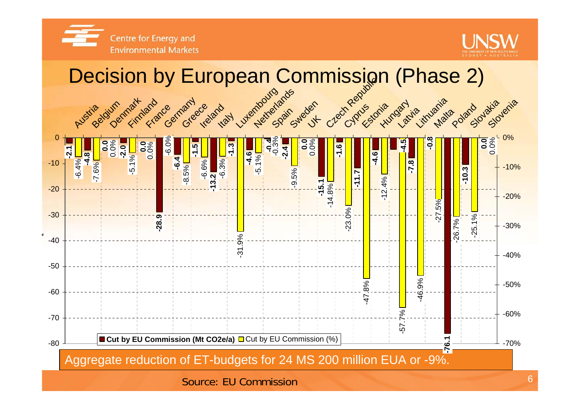

Centre for Energy and **Environmental Markets** 

## Decision by European Commission (Phase 2)

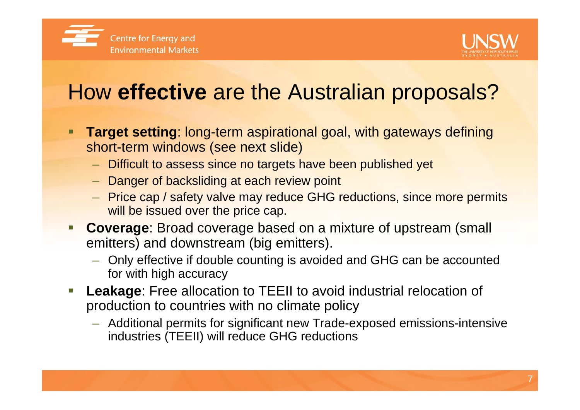



## How **effective** are the Australian proposals?

- **Target setting**: long-term aspirational goal, with gateways defining short-term windows (see next slide)
	- Difficult to assess since no targets have been published yet
	- Danger of backsliding at each review point
	- Price cap / safety valve may reduce GHG reductions, since more permits will be issued over the price cap.
- er<br>1 **Coverage**: Broad coverage based on a mixture of upstream (small emitters) and downstream (big emitters).
	- Only effective if double counting is avoided and GHG can be accounted for with high accuracy
- **Service Service Leakage**: Free allocation to TEEII to avoid industrial relocation of production to countries with no climate policy
	- Additional permits for significant new Trade-exposed emissions-intensive industries (TEEII) will reduce GHG reductions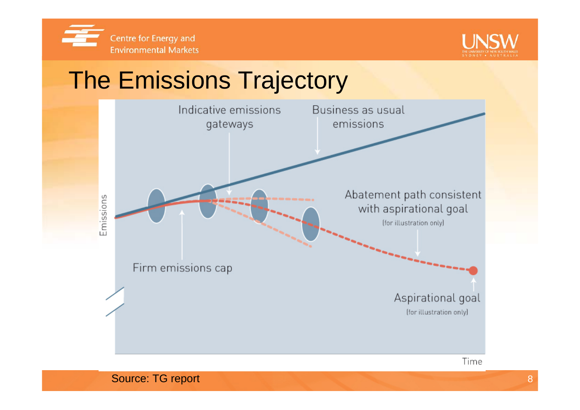



# The Emissions Trajectory



Source: TG report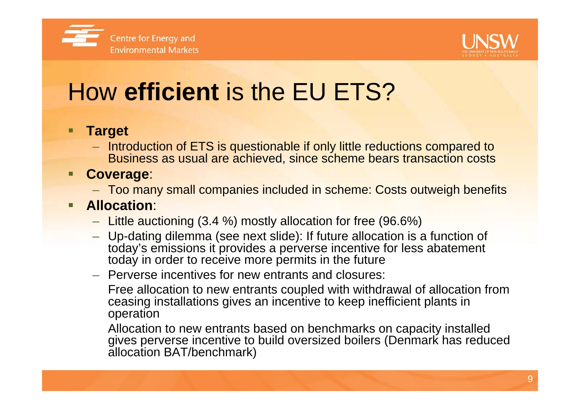



# How **efficient** is the EU ETS?

### **Target**

– Introduction of ETS is questionable if only little reductions compared to Business as usual are achieved, since scheme bears transaction costs

#### **Service Service Coverage**:

– Too many small companies included in scheme: Costs outweigh benefits

#### Ξ **Allocation**:

- Little auctioning (3.4 %) mostly allocation for free (96.6%)
- Up-dating dilemma (see next slide): If future allocation is a function of today's emissions it provides a perverse incentive for less abatement today in order to receive more permits in the future
- Perverse incentives for new entrants and closures:

Free allocation to new entrants coupled with withdrawal of allocation from ceasing installations gives an incentive to keep inefficient plants in operation

Allocation to new entrants based on benchmarks on capacity installed gives perverse incentive to build oversized boilers (Denmark has reduced allocation BAT/benchmark)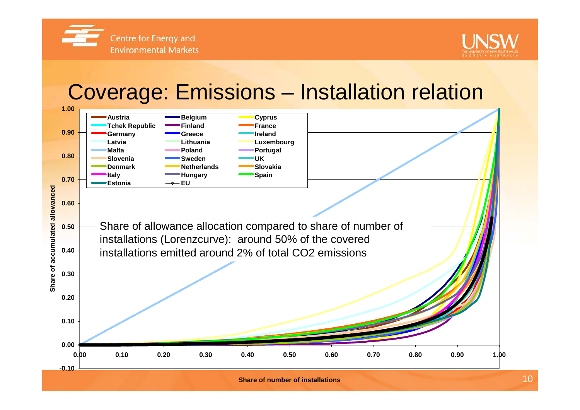Centre for Energy and **Environmental Markets** 





**Share of number of installations**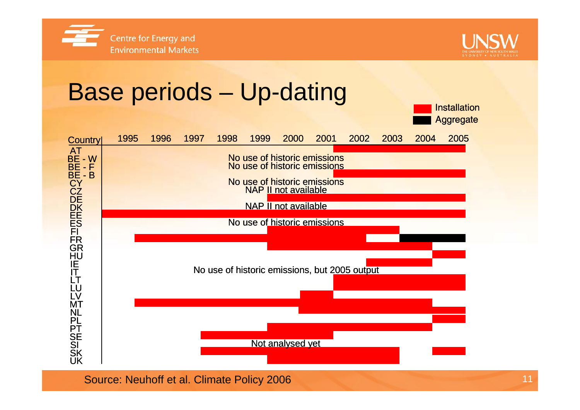



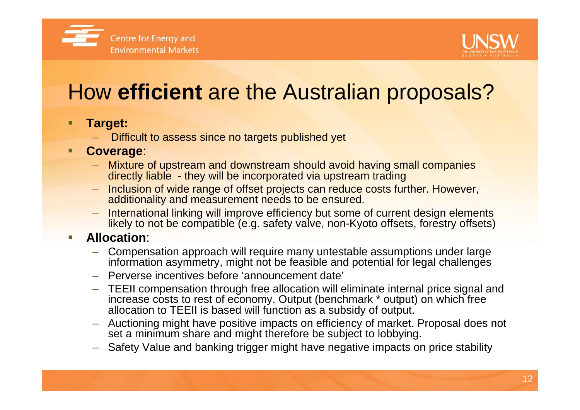



## How **efficient** are the Australian proposals?

#### П **Target:**

Difficult to assess since no targets published yet

### **Coverage**:

- Mixture of upstream and downstream should avoid having small companies directly liable - they will be incorporated via upstream trading
- Inclusion of wide range of offset projects can reduce costs further. However, additionality and measurement needs to be ensured.
- International linking will improve efficiency but some of current design elements likely to not be compatible (e.g. safety valve, non-Kyoto offsets, forestry offsets)

#### П **Allocation**:

- Compensation approach will require many untestable assumptions under large information asymmetry, might not be feasible and potential for legal challenges
- Perverse incentives before 'announcement date'
- TEEII compensation through free allocation will eliminate internal price signal and increase costs to rest of economy. Output (benchmark \* output) on which free allocation to TEEII is based will function as a subsidy of output.
- Auctioning might have positive impacts on efficiency of market. Proposal does not set a minimum share and might therefore be subject to lobbying.
- Safety Value and banking trigger might have negative impacts on price stability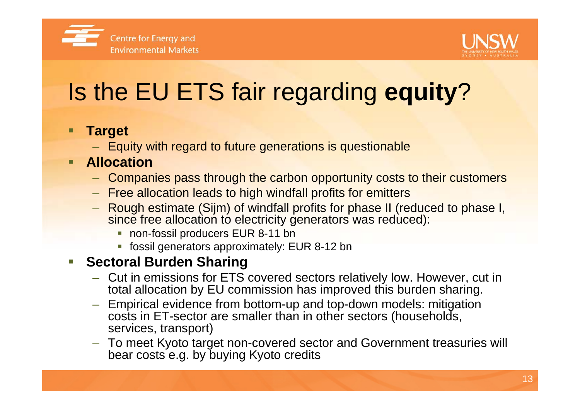



# Is the EU ETS fair regarding **equity**?

### **Target**

– Equity with regard to future generations is questionable

#### **Service Service Allocation**

- Companies pass through the carbon opportunity costs to their customers
- Free allocation leads to high windfall profits for emitters
- Rough estimate (Sijm) of windfall profits for phase II (reduced to phase I, since free allocation to electricity generators was reduced):
	- non-fossil producers EUR 8-11 bn
	- fossil generators approximately: EUR 8-12 bn

#### erial<br>Ma **Sectoral Burden Sharing**

- Cut in emissions for ETS covered sectors relatively low. However, cut in total allocation by EU commission has improved this burden sharing.
- Empirical evidence from bottom-up and top-down models: mitigation costs in ET-sector are smaller than in other sectors (households, services, transport)
- To meet Kyoto target non-covered sector and Government treasuries will bear costs e.g. by buying Kyoto credits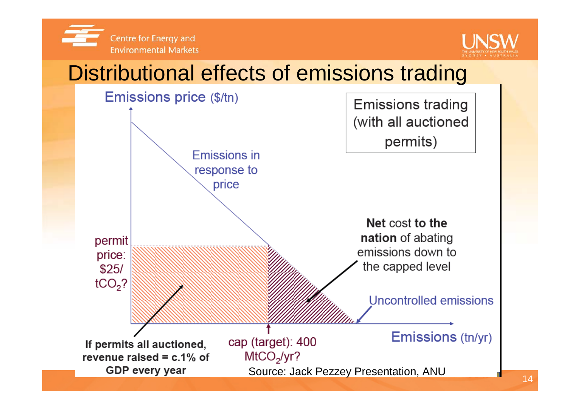



## Distributional effects of emissions trading

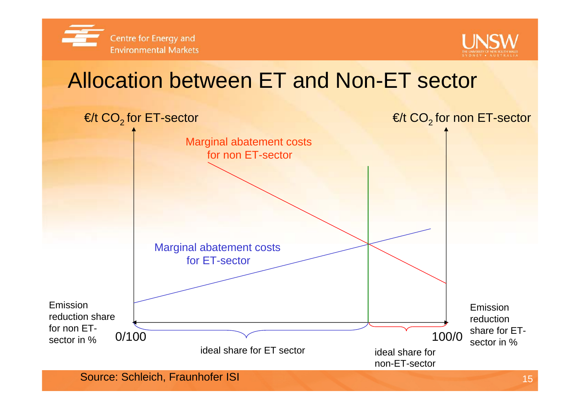



## Allocation between ET and Non-ET sector

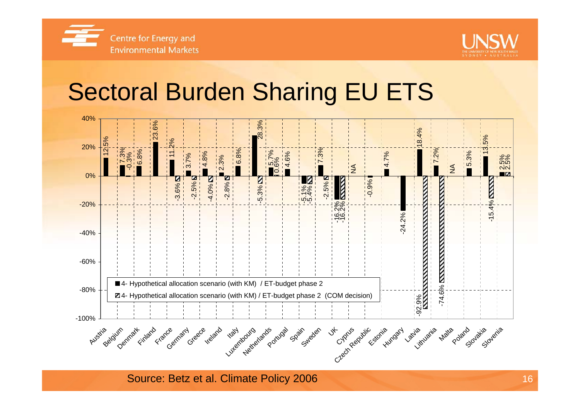



## Sectoral Burden Sharing EU ETS



Source: Betz et al. Climate Policy 2006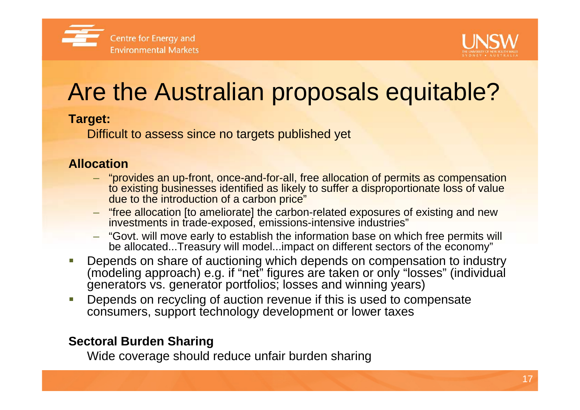



# Are the Australian proposals equitable?

### **Target:**

Difficult to assess since no targets published yet

### **Allocation**

- "provides an up-front, once-and-for-all, free allocation of permits as compensation to existing businesses identified as likely to suffer a disproportionate loss of value due to the introduction of a carbon price"
- "free allocation [to ameliorate] the carbon-related exposures of existing and new investments in trade-exposed, emissions-intensive industries"
- "Govt. will move early to establish the information base on which free permits will be allocated...Treasury will model...impact on different sectors of the economy"
- ▉ Depends on share of auctioning which depends on compensation to industry (modeling approach) e.g. if "net" figures are taken or only "losses" (individual generators vs. generator portfolios; losses and winning years)
- ▉ Depends on recycling of auction revenue if this is used to compensate consumers, support technology development or lower taxes

### **Sectoral Burden Sharing**

Wide coverage should reduce unfair burden sharing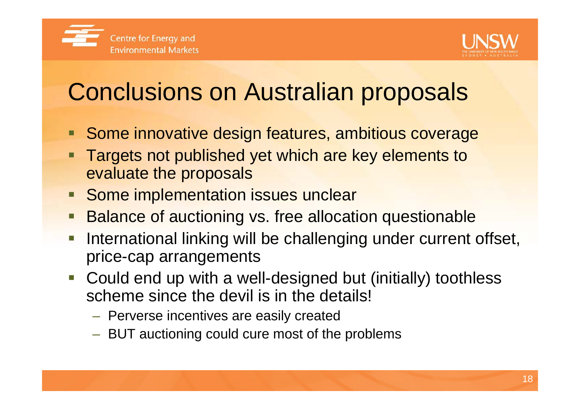

# Conclusions on Australian proposals

- **Some innovative design features, ambitious coverage**
- Ξ Targets not published yet which are key elements to evaluate the proposals
- **Some implementation issues unclear**
- Balance of auctioning vs. free allocation questionable
- International linking will be challenging under current offset, price-cap arrangements
- Could end up with a well-designed but (initially) toothless scheme since the devil is in the details!
	- $-$  Perverse incentives are easily created
	- BUT auctioning could cure most of the problems